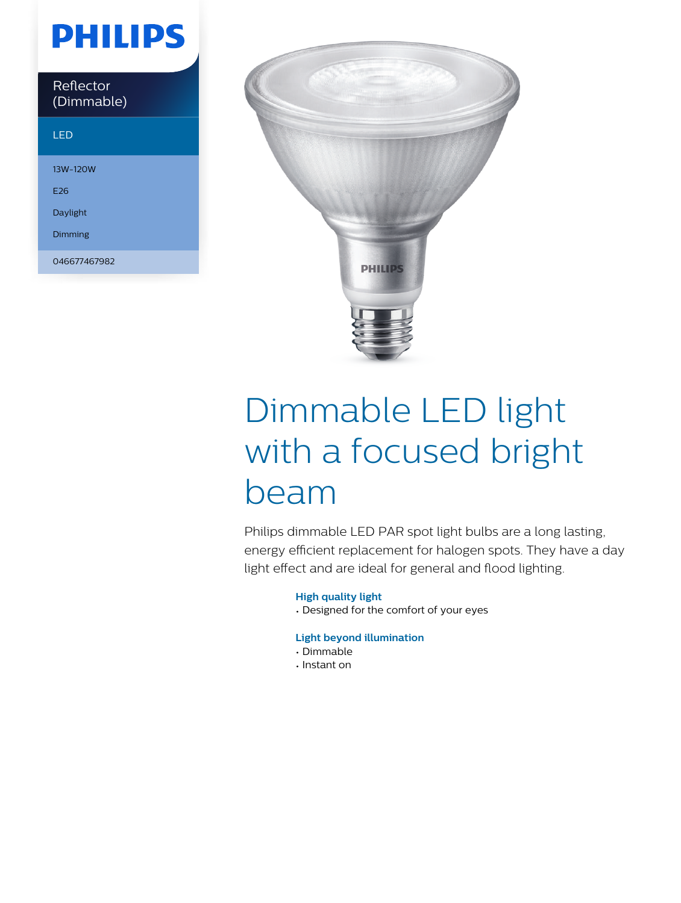## **PHILIPS**

| Reflector<br>(Dimmable) |  |
|-------------------------|--|
| 'LED                    |  |

### 13W-120W E26 Daylight Dimming 046677467982



# Dimmable LED light with a focused bright beam

Philips dimmable LED PAR spot light bulbs are a long lasting, energy efficient replacement for halogen spots. They have a day light effect and are ideal for general and flood lighting.

#### **High quality light**

• Designed for the comfort of your eyes

### **Light beyond illumination**

- Dimmable
- Instant on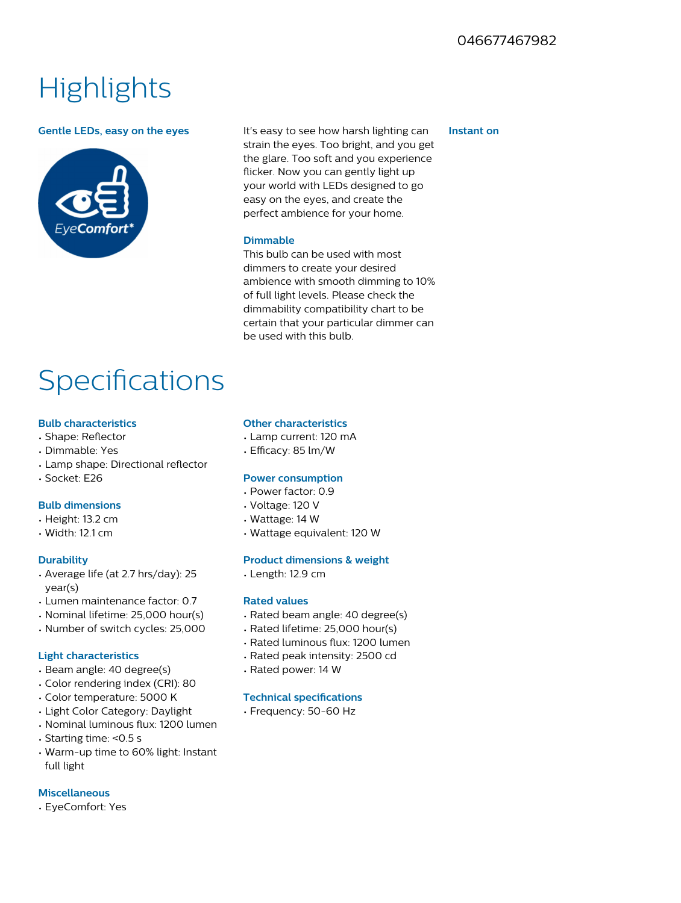### **Highlights**



**Gentle LEDs, easy on the eyes** It's easy to see how harsh lighting can strain the eyes. Too bright, and you get the glare. Too soft and you experience flicker. Now you can gently light up your world with LEDs designed to go easy on the eyes, and create the perfect ambience for your home.

#### **Dimmable**

This bulb can be used with most dimmers to create your desired ambience with smooth dimming to 10% of full light levels. Please check the dimmability compatibility chart to be certain that your particular dimmer can be used with this bulb.

### **Specifications**

#### **Bulb characteristics**

- Shape: Reflector
- Dimmable: Yes
- $\cdot$  Lamp shape: Directional reflector
- Socket: E26

#### **Bulb dimensions**

- Height: 13.2 cm
- Width: 12.1 cm

#### **Durability**

- Average life (at 2.7 hrs/day): 25 year(s)
- Lumen maintenance factor: 0.7
- Nominal lifetime: 25,000 hour(s)
- Number of switch cycles: 25,000

#### **Light characteristics**

- Beam angle: 40 degree(s)
- Color rendering index (CRI): 80
- Color temperature: 5000 K
- Light Color Category: Daylight
- $\cdot$  Nominal luminous flux: 1200 lumen
- Starting time: <0.5 s
- Warm-up time to 60% light: Instant full light

#### **Miscellaneous**

• EyeComfort: Yes

#### **Other characteristics**

- Lamp current: 120 mA
- $\cdot$  Efficacy: 85 lm/W

#### **Power consumption**

- Power factor: 0.9
- Voltage: 120 V
- Wattage: 14 W
- Wattage equivalent: 120 W

#### **Product dimensions & weight**

• Length: 12.9 cm

#### **Rated values**

- Rated beam angle: 40 degree(s)
- Rated lifetime: 25,000 hour(s)
- Rated luminous flux: 1200 lumen
- Rated peak intensity: 2500 cd
- Rated power: 14 W

#### **Technical specifications**

#### • Frequency: 50-60 Hz

#### **Instant on**